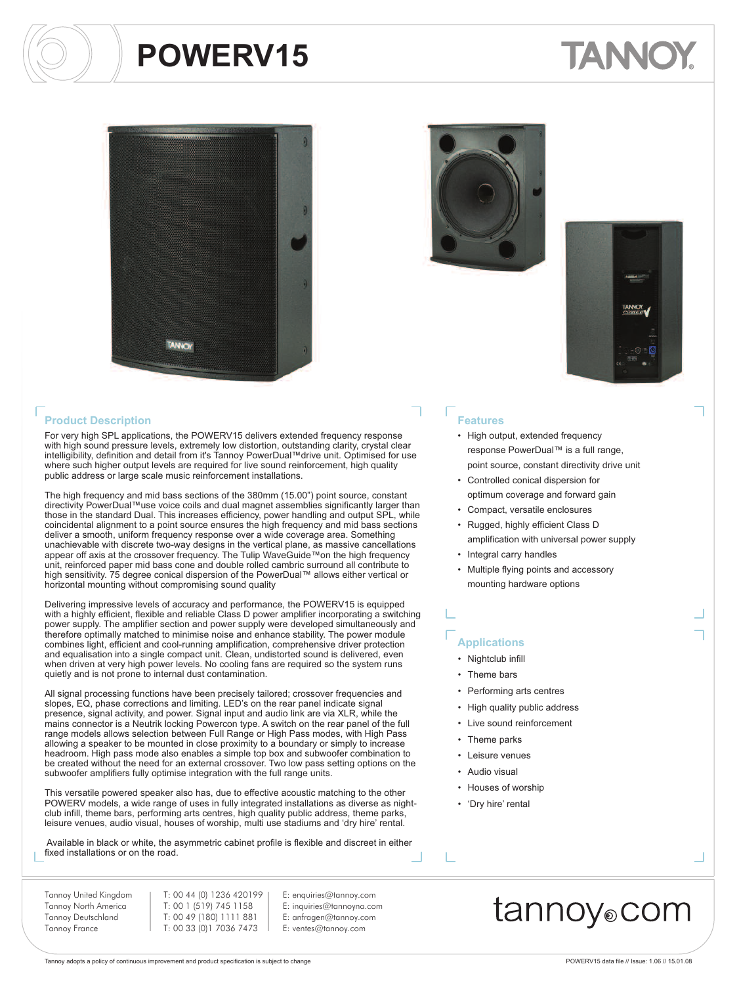# TANNO





For very high SPL applications, the POWERV15 delivers extended frequency response with high sound pressure levels, extremely low distortion, outstanding clarity, crystal clear intelligibility, definition and detail from it's Tannoy PowerDual™drive unit. Optimised for use where such higher output levels are required for live sound reinforcement, high quality public address or large scale music reinforcement installations.

The high frequency and mid bass sections of the 380mm (15.00") point source, constant directivity PowerDual™use voice coils and dual magnet assemblies significantly larger than those in the standard Dual. This increases efficiency, power handling and output SPL, while coincidental alignment to a point source ensures the high frequency and mid bass sections deliver a smooth, uniform frequency response over a wide coverage area. Something unachievable with discrete two-way designs in the vertical plane, as massive cancellations appear off axis at the crossover frequency. The Tulip WaveGuide™on the high frequency unit, reinforced paper mid bass cone and double rolled cambric surround all contribute to high sensitivity. 75 degree conical dispersion of the PowerDual™ allows either vertical or horizontal mounting without compromising sound quality

Delivering impressive levels of accuracy and performance, the POWERV15 is equipped with a highly efficient, flexible and reliable Class D power amplifier incorporating a switching power supply. The amplifier section and power supply were developed simultaneously and therefore optimally matched to minimise noise and enhance stability. The power module combines light, efficient and cool-running amplification, comprehensive driver protection and equalisation into a single compact unit. Clean, undistorted sound is delivered, even when driven at very high power levels. No cooling fans are required so the system runs quietly and is not prone to internal dust contamination.

All signal processing functions have been precisely tailored; crossover frequencies and slopes, EQ, phase corrections and limiting. LED's on the rear panel indicate signal presence, signal activity, and power. Signal input and audio link are via XLR, while the mains connector is a Neutrik locking Powercon type. A switch on the rear panel of the full range models allows selection between Full Range or High Pass modes, with High Pass allowing a speaker to be mounted in close proximity to a boundary or simply to increase headroom. High pass mode also enables a simple top box and subwoofer combination to be created without the need for an external crossover. Two low pass setting options on the subwoofer amplifiers fully optimise integration with the full range units.

This versatile powered speaker also has, due to effective acoustic matching to the other POWERV models, a wide range of uses in fully integrated installations as diverse as nightclub infill, theme bars, performing arts centres, high quality public address, theme parks, leisure venues, audio visual, houses of worship, multi use stadiums and 'dry hire' rental.

Available in black or white, the asymmetric cabinet profile is flexible and discreet in either fixed installations or on the road.

Tannoy United Kingdom Tannoy North America Tannoy Deutschland Tannoy France

T: 00 44 (0) 1236 420199 T: 00 1 (519) 745 1158 T: 00 49 (180) 1111 881 T: 00 33 (0)1 7036 7473

#### E: enquiries@tannoy.com E: inquiries@tannoyna.com E: anfragen@tannoy.com E: ventes@tannoy.com





### **Features**

- High output, extended frequency response PowerDual™ is a full range, point source, constant directivity drive unit
- Controlled conical dispersion for optimum coverage and forward gain
- Compact, versatile enclosures
- Rugged, highly efficient Class D amplification with universal power supply
- Integral carry handles
- Multiple flying points and accessory mounting hardware options

#### **Applications**

- Nightclub infill
- Theme bars
- Performing arts centres
- High quality public address
- Live sound reinforcement
- Theme parks
- Leisure venues
- Audio visual
- Houses of worship
- 'Dry hire' rental

### tannoy®com

Tannoy adopts a policy of continuous improvement and product specification is subject to change <br>
Tannoy adopts a policy of continuous improvement and product specification is subject to change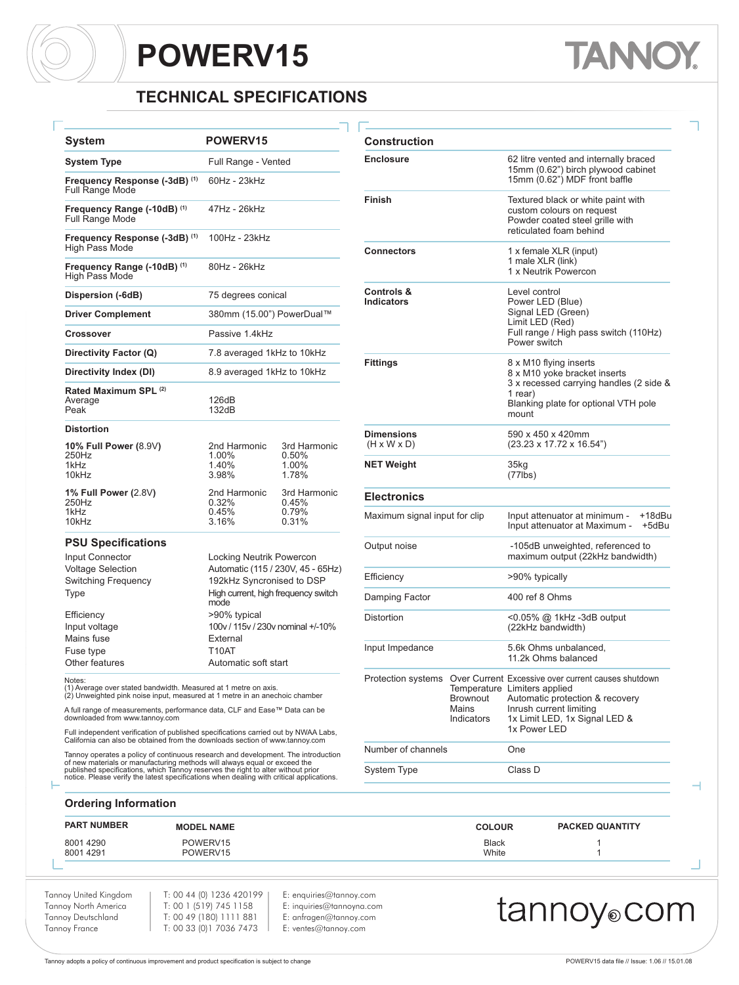### **TECHNICAL SPECIFICATIONS**

 $Construction$ 

| System                                                  | <b>POWERV15</b>                             |                                         |  |  |  |  |  |  |  |
|---------------------------------------------------------|---------------------------------------------|-----------------------------------------|--|--|--|--|--|--|--|
| <b>System Type</b>                                      | Full Range - Vented                         |                                         |  |  |  |  |  |  |  |
| Frequency Response (-3dB) (1)<br><b>Full Range Mode</b> | 60Hz - 23kHz                                |                                         |  |  |  |  |  |  |  |
| Frequency Range (-10dB) (1)<br><b>Full Range Mode</b>   | 47Hz - 26kHz                                |                                         |  |  |  |  |  |  |  |
| Frequency Response (-3dB) (1)<br>High Pass Mode         | 100Hz - 23kHz                               |                                         |  |  |  |  |  |  |  |
| Frequency Range (-10dB) (1)<br><b>High Pass Mode</b>    | 80Hz - 26kHz                                |                                         |  |  |  |  |  |  |  |
| Dispersion (-6dB)                                       | 75 degrees conical                          |                                         |  |  |  |  |  |  |  |
| <b>Driver Complement</b>                                | 380mm (15.00") PowerDual™                   |                                         |  |  |  |  |  |  |  |
| Crossover                                               | Passive 1.4kHz                              |                                         |  |  |  |  |  |  |  |
| Directivity Factor (Q)                                  | 7.8 averaged 1kHz to 10kHz                  |                                         |  |  |  |  |  |  |  |
| Directivity Index (DI)                                  | 8.9 averaged 1kHz to 10kHz                  |                                         |  |  |  |  |  |  |  |
| Rated Maximum SPL (2)<br>Average<br>Peak                | 126dB<br>132dB                              |                                         |  |  |  |  |  |  |  |
| <b>Distortion</b>                                       |                                             |                                         |  |  |  |  |  |  |  |
| <b>10% Full Power (8.9V)</b><br>250Hz<br>1kHz<br>10kHz  | 2nd Harmonic<br>1.00%<br>1.40%<br>3.98%     | 3rd Harmonic<br>0.50%<br>1.00%<br>1.78% |  |  |  |  |  |  |  |
| 1% Full Power (2.8V)<br>250Hz<br>1kHz<br>10kHz          | 2nd Harmonic<br>0.32%<br>0.45%<br>3.16%     | 3rd Harmonic<br>0.45%<br>0.79%<br>0.31% |  |  |  |  |  |  |  |
| <b>PSU Specifications</b>                               |                                             |                                         |  |  |  |  |  |  |  |
| Input Connector                                         |                                             | Locking Neutrik Powercon                |  |  |  |  |  |  |  |
| <b>Voltage Selection</b>                                |                                             | Automatic (115 / 230V, 45 - 65Hz)       |  |  |  |  |  |  |  |
| <b>Switching Frequency</b>                              | 192kHz Syncronised to DSP                   |                                         |  |  |  |  |  |  |  |
| Type                                                    | High current, high frequency switch<br>mode |                                         |  |  |  |  |  |  |  |
| Efficiency                                              | >90% typical                                |                                         |  |  |  |  |  |  |  |
| Input voltage                                           | 100v / 115v / 230v nominal +/-10%           |                                         |  |  |  |  |  |  |  |
|                                                         |                                             |                                         |  |  |  |  |  |  |  |

Mains fuse **External** Fuse type T10AT Other features **Automatic soft start** 

Notes:

(1) Average over stated bandwidth. Measured at 1 metre on axis. (2) Unweighted pink noise input, measured at 1 metre in an anechoic chamber

A full range of measurements, performance data, CLF and Ease™ Data can be downloaded from www.tannoy.com

Full independent verification of published specifications carried out by NWAA Labs, California can also be obtained from the downloads section of www.tannoy.com

Tannoy operates a policy of continuous research and development. The introduction of new materials or manufacturing methods will always equal or exceed the<br>published specifications, which Tannoy reserves the right to alter without prior<br>notice. Please verify the latest specifications when dealing with c

#### **Enclosure** 62 litre vented and internally braced 15mm (0.62") birch plywood cabinet 15mm (0.62") MDF front baffle **Finish** Textured black or white paint with custom colours on request Powder coated steel grille with reticulated foam behind **Connectors** 1 x female XLR (input) 1 male XLR (link) 1 x Neutrik Powercon **Controls &** Level control<br> **Controls**<br> **Controls**<br> **Controls**<br> **Controls**<br> **Controls** Power LED (Blue) Signal LED (Green) Limit LED (Red) Full range / High pass switch (110Hz) Power switch **Fittings** 8 x M10 flying inserts 8 x M10 yoke bracket inserts 3 x recessed carrying handles (2 side & 1 rear) Blanking plate for optional VTH pole mount **Dimensions** 590 x 450 x 420mm<br>(H x W x D) (23.23 x 17.72 x 16.  $(23.23 \times 17.72 \times 16.54)$ " **NET Weight** 35kg (77lbs) **Electronics** Maximum signal input for clip Input attenuator at minimum - +18dBu<br>Input attenuator at Maximum - +5dBu Input attenuator at Maximum -Output noise **COUT COUTS** -105dB unweighted, referenced to maximum output (22kHz bandwidth) Efficiency  $>90\%$  typically Damping Factor 400 ref 8 Ohms Distortion <0.05% @ 1kHz -3dB output (22kHz bandwidth) Input Impedance 5.6k Ohms unbalanced, 11.2k Ohms balanced Protection systems Over Current Excessive over current causes shutdown Temperature Limiters applied<br>Brownout Automatic prote Brownout Automatic protection & recovery Mains Inrush current limiting<br>Indicators 1x Limit LED, 1x Signa 1x Limit LED, 1x Signal LED & 1x Power LED Number of channels **One** System Type Class D

#### **Ordering Information**

| <b>PART NUMBER</b> | <b>MODEL NAME</b> | <b>COLOUR</b> | <b>PACKED QUANTITY</b> |
|--------------------|-------------------|---------------|------------------------|
| 80014290           | POWERV15          | <b>Black</b>  |                        |
| 80014291           | POWERV15          | White         |                        |

Tannoy United Kingdom Tannoy North America Tannoy Deutschland Tannoy France

T: 00 44 (0) 1236 420199 T: 00 1 (519) 745 1158 T: 00 49 (180) 1111 881 T: 00 33 (0)1 7036 7473

E: enquiries@tannoy.com E: inquiries@tannoyna.com E: anfragen@tannoy.com E: ventes@tannoy.com

### tannoy⊚com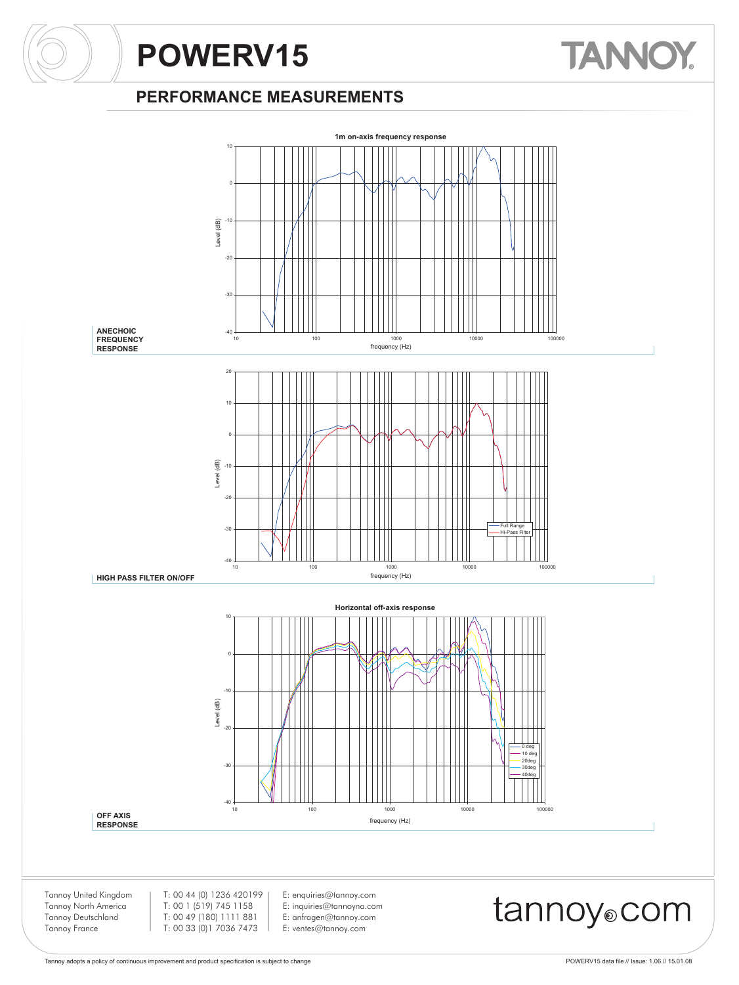# **TANNOY**

#### **PERFORMANCE MEASUREMENTS**

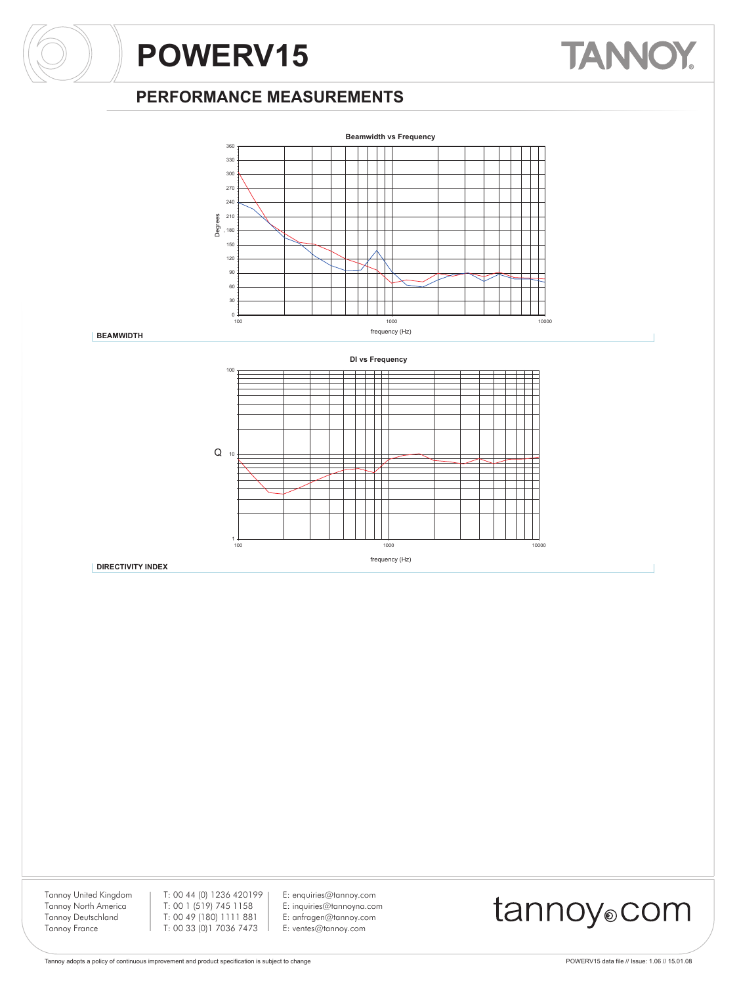#### **PERFORMANCE MEASUREMENTS**



**BEAMWIDTH**

**DIRECTIVITY INDEX**



Tannoy United Kingdom Tannoy North America Tannoy Deutschland Tannoy France

T: 00 44 (0) 1236 420199 T: 00 1 (519) 745 1158 T: 00 49 (180) 1111 881 T: 00 33 (0)1 7036 7473

E: enquiries@tannoy.com E: inquiries@tannoyna.com E: anfragen@tannoy.com E: ventes@tannoy.com

## tannoy®com

**TANNOY**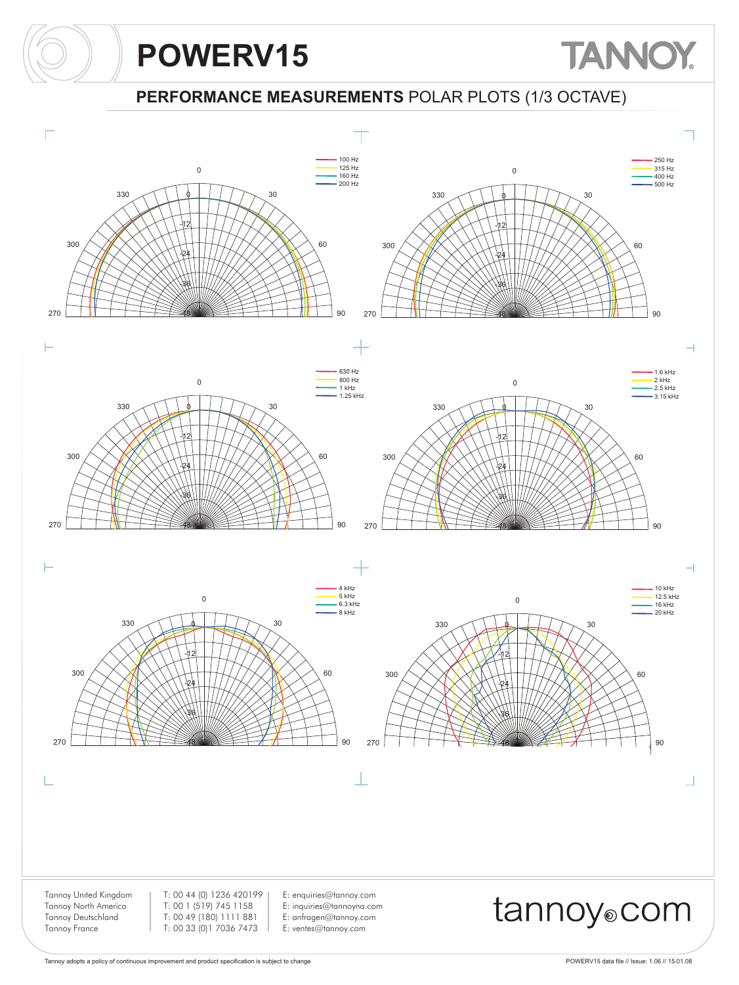## **TANNOY**

**PERFORMANCE MEASUREMENTS** POLAR PLOTS (1/3 OCTAVE)

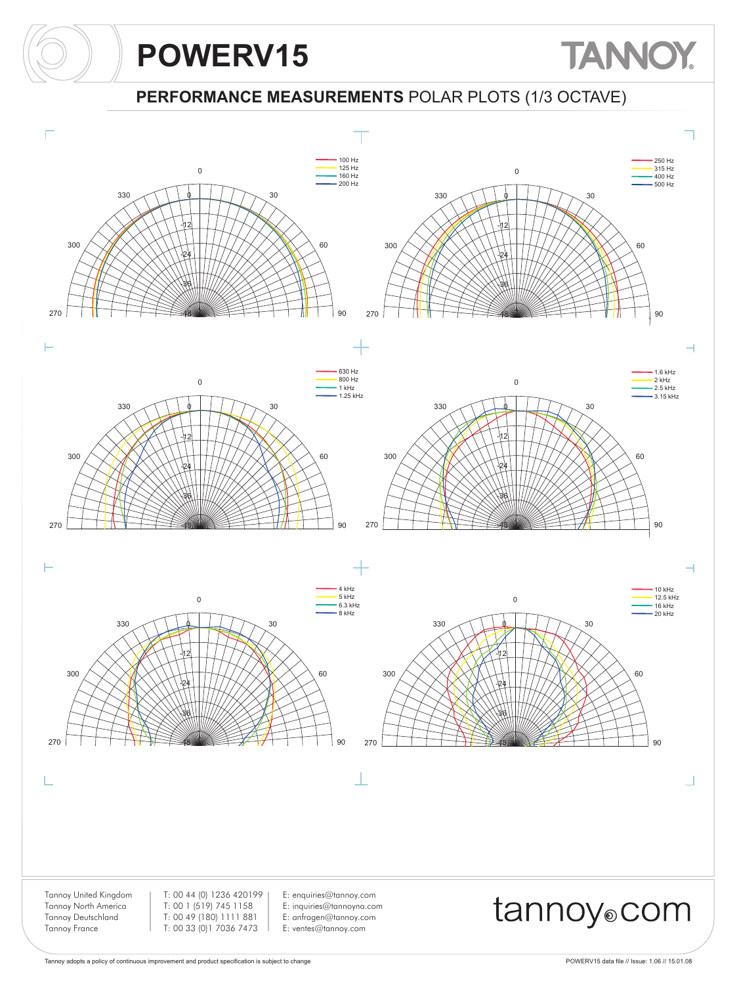## **TANNOY**

**PERFORMANCE MEASUREMENTS** POLAR PLOTS (1/3 OCTAVE)

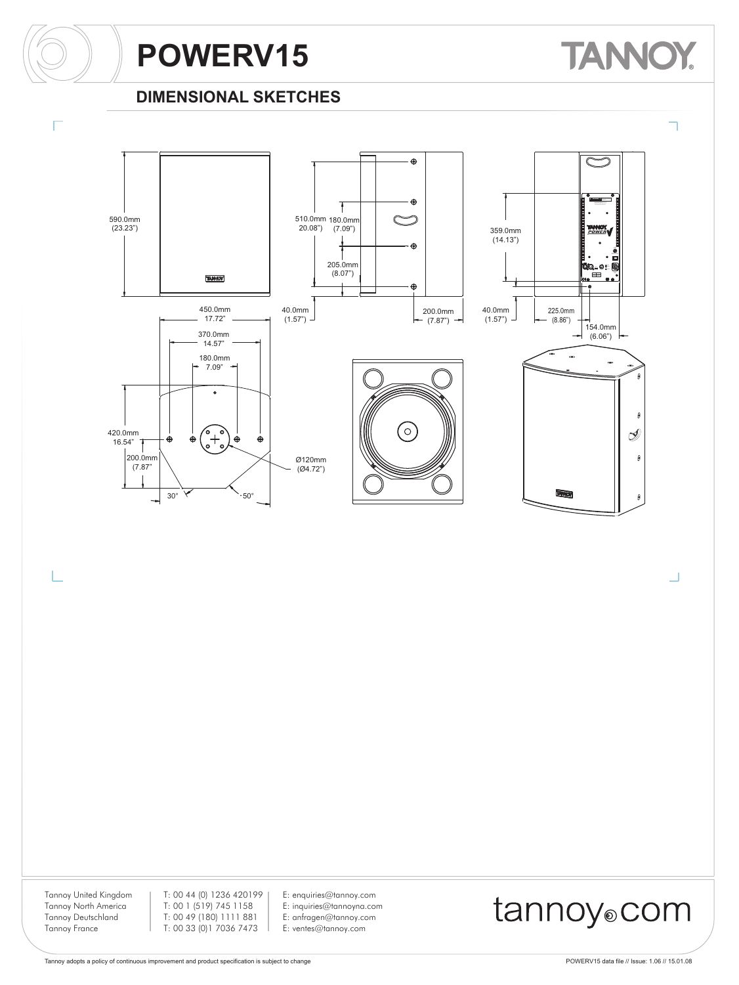# **TANNOY**

#### **DIMENSIONAL SKETCHES**



Tannoy United Kingdom Tannoy North America Tannoy Deutschland Tannoy France

L

T: 00 44 (0) 1236 420199 T: 00 1 (519) 745 1158 T: 00 49 (180) 1111 881 T: 00 33 (0)1 7036 7473

E: enquiries@tannoy.com E: inquiries@tannoyna.com E: anfragen@tannoy.com E: ventes@tannoy.com

### tannoy®com

┚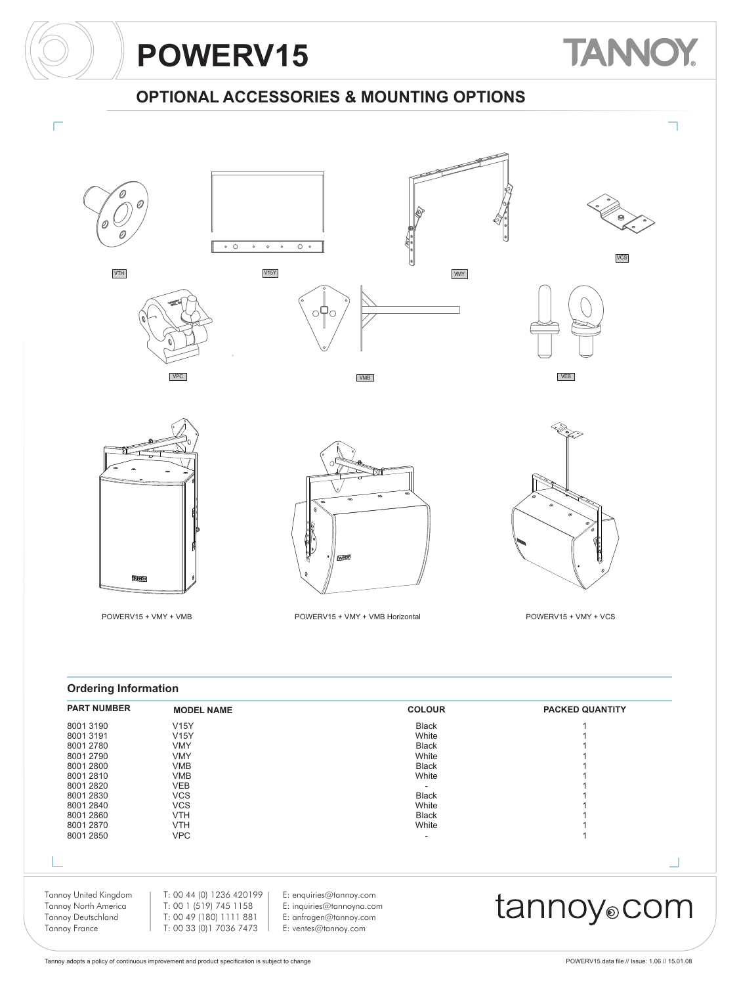

**VCS** 

### **OPTIONAL ACCESSORIES & MOUNTING OPTIONS**







VMB











#### **Ordering Information**

| <b>PART NUMBER</b>        | <b>MODEL NAME</b>        |                           | <b>COLOUR</b> | <b>PACKED QUANTITY</b>  |
|---------------------------|--------------------------|---------------------------|---------------|-------------------------|
| 8001 3190                 | <b>V15Y</b>              |                           | <b>Black</b>  |                         |
| 8001 3191                 | <b>V15Y</b>              |                           | White         |                         |
| 8001 2780                 | <b>VMY</b>               |                           | <b>Black</b>  |                         |
| 8001 2790                 | <b>VMY</b>               |                           | White         |                         |
| 8001 2800                 | <b>VMB</b>               |                           | <b>Black</b>  |                         |
| 8001 2810                 | <b>VMB</b>               |                           | White         |                         |
| 8001 2820                 | <b>VEB</b>               |                           |               |                         |
| 8001 2830                 | <b>VCS</b>               |                           | <b>Black</b>  |                         |
| 8001 2840                 | <b>VCS</b>               |                           | White         |                         |
| 8001 2860                 | <b>VTH</b>               |                           | <b>Black</b>  |                         |
| 8001 2870                 | <b>VTH</b>               |                           | White         |                         |
| 8001 2850                 | <b>VPC</b>               |                           |               |                         |
|                           |                          |                           |               |                         |
| Tannoy United Kingdom     | T: 00 44 (0) 1236 420199 | E: enquiries@tannoy.com   |               |                         |
| Tannoy North America      | T: 00 1 (519) 745 1158   | E: inquiries@tannoyna.com |               |                         |
| <b>Tannoy Deutschland</b> | T: 00 49 (180) 1111 881  | E: anfragen@tannoy.com    |               | tannoy <sub>o</sub> com |
| <b>Tannoy France</b>      | T: 00 33 (0) 1 7036 7473 | E: ventes@tannoy.com      |               |                         |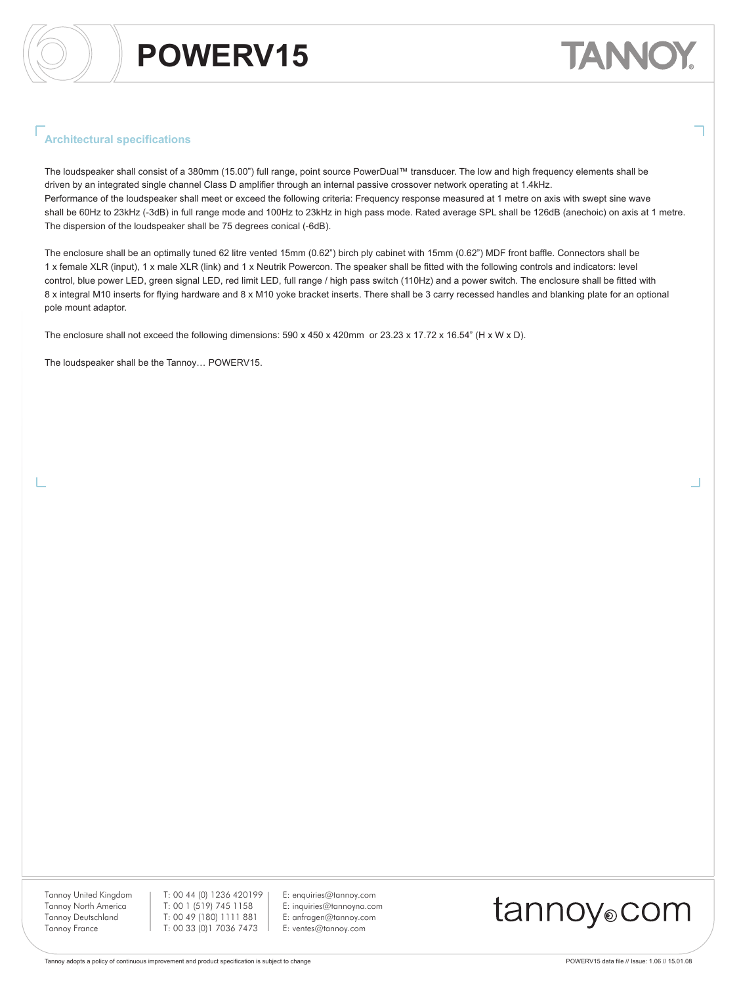# TANN

#### **Architectural specifications**

The loudspeaker shall consist of a 380mm (15.00") full range, point source PowerDual™ transducer. The low and high frequency elements shall be driven by an integrated single channel Class D amplifier through an internal passive crossover network operating at 1.4kHz. Performance of the loudspeaker shall meet or exceed the following criteria: Frequency response measured at 1 metre on axis with swept sine wave shall be 60Hz to 23kHz (-3dB) in full range mode and 100Hz to 23kHz in high pass mode. Rated average SPL shall be 126dB (anechoic) on axis at 1 metre. The dispersion of the loudspeaker shall be 75 degrees conical (-6dB).

The enclosure shall be an optimally tuned 62 litre vented 15mm (0.62") birch ply cabinet with 15mm (0.62") MDF front baffle. Connectors shall be 1 x female XLR (input), 1 x male XLR (link) and 1 x Neutrik Powercon. The speaker shall be fitted with the following controls and indicators: level control, blue power LED, green signal LED, red limit LED, full range / high pass switch (110Hz) and a power switch. The enclosure shall be fitted with 8 x integral M10 inserts for flying hardware and 8 x M10 yoke bracket inserts. There shall be 3 carry recessed handles and blanking plate for an optional pole mount adaptor.

The enclosure shall not exceed the following dimensions: 590 x 450 x 420mm or 23.23 x 17.72 x 16.54" (H x W x D).

The loudspeaker shall be the Tannoy… POWERV15.

Tannoy United Kingdom Tannoy North America Tannoy Deutschland Tannoy France

T: 00 44 (0) 1236 420199 T: 00 1 (519) 745 1158 T: 00 49 (180) 1111 881 T: 00 33 (0)1 7036 7473

E: enquiries@tannoy.com E: inquiries@tannoyna.com E: anfragen@tannoy.com E: ventes@tannoy.com